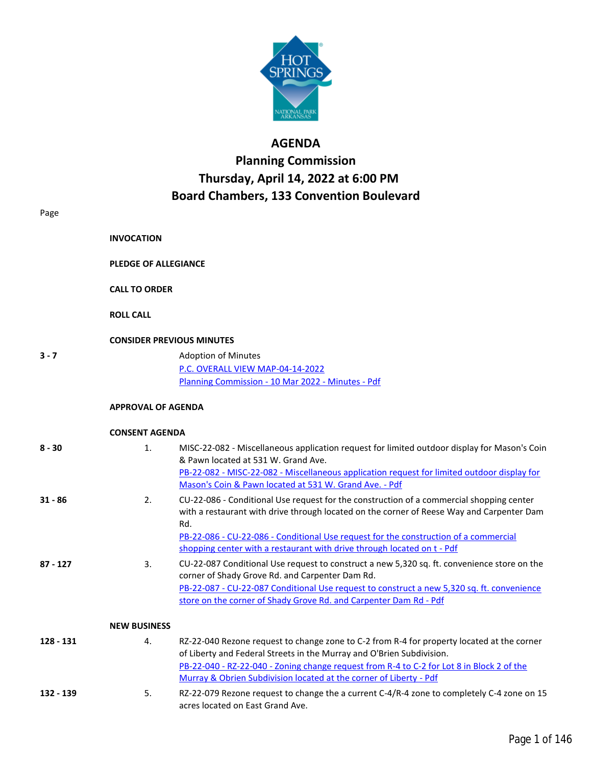

## **AGENDA**

## **Planning Commission Thursday, April 14, 2022 at 6:00 PM Board Chambers, 133 Convention Boulevard**

| Page       |                                                     |                                                                                                                                                                                                                                                                                                                                                                 |
|------------|-----------------------------------------------------|-----------------------------------------------------------------------------------------------------------------------------------------------------------------------------------------------------------------------------------------------------------------------------------------------------------------------------------------------------------------|
|            | <b>INVOCATION</b>                                   |                                                                                                                                                                                                                                                                                                                                                                 |
|            | <b>PLEDGE OF ALLEGIANCE</b><br><b>CALL TO ORDER</b> |                                                                                                                                                                                                                                                                                                                                                                 |
|            |                                                     |                                                                                                                                                                                                                                                                                                                                                                 |
|            | <b>ROLL CALL</b>                                    |                                                                                                                                                                                                                                                                                                                                                                 |
|            |                                                     | <b>CONSIDER PREVIOUS MINUTES</b>                                                                                                                                                                                                                                                                                                                                |
| $3 - 7$    |                                                     | <b>Adoption of Minutes</b>                                                                                                                                                                                                                                                                                                                                      |
|            |                                                     | P.C. OVERALL VIEW MAP-04-14-2022                                                                                                                                                                                                                                                                                                                                |
|            |                                                     | Planning Commission - 10 Mar 2022 - Minutes - Pdf                                                                                                                                                                                                                                                                                                               |
|            | <b>APPROVAL OF AGENDA</b>                           |                                                                                                                                                                                                                                                                                                                                                                 |
|            | <b>CONSENT AGENDA</b>                               |                                                                                                                                                                                                                                                                                                                                                                 |
| $8 - 30$   | 1.                                                  | MISC-22-082 - Miscellaneous application request for limited outdoor display for Mason's Coin<br>& Pawn located at 531 W. Grand Ave.<br>PB-22-082 - MISC-22-082 - Miscellaneous application request for limited outdoor display for<br>Mason's Coin & Pawn located at 531 W. Grand Ave. - Pdf                                                                    |
| $31 - 86$  | 2.                                                  | CU-22-086 - Conditional Use request for the construction of a commercial shopping center<br>with a restaurant with drive through located on the corner of Reese Way and Carpenter Dam<br>Rd.<br>PB-22-086 - CU-22-086 - Conditional Use request for the construction of a commercial<br>shopping center with a restaurant with drive through located on t - Pdf |
| $87 - 127$ | 3.                                                  | CU-22-087 Conditional Use request to construct a new 5,320 sq. ft. convenience store on the<br>corner of Shady Grove Rd. and Carpenter Dam Rd.<br>PB-22-087 - CU-22-087 Conditional Use request to construct a new 5,320 sq. ft. convenience<br>store on the corner of Shady Grove Rd. and Carpenter Dam Rd - Pdf                                               |
|            | <b>NEW BUSINESS</b>                                 |                                                                                                                                                                                                                                                                                                                                                                 |
| 128 - 131  | 4.                                                  | RZ-22-040 Rezone request to change zone to C-2 from R-4 for property located at the corner<br>of Liberty and Federal Streets in the Murray and O'Brien Subdivision.<br>PB-22-040 - RZ-22-040 - Zoning change request from R-4 to C-2 for Lot 8 in Block 2 of the<br>Murray & Obrien Subdivision located at the corner of Liberty - Pdf                          |
| 132 - 139  | 5.                                                  | RZ-22-079 Rezone request to change the a current C-4/R-4 zone to completely C-4 zone on 15                                                                                                                                                                                                                                                                      |

acres located on East Grand Ave.